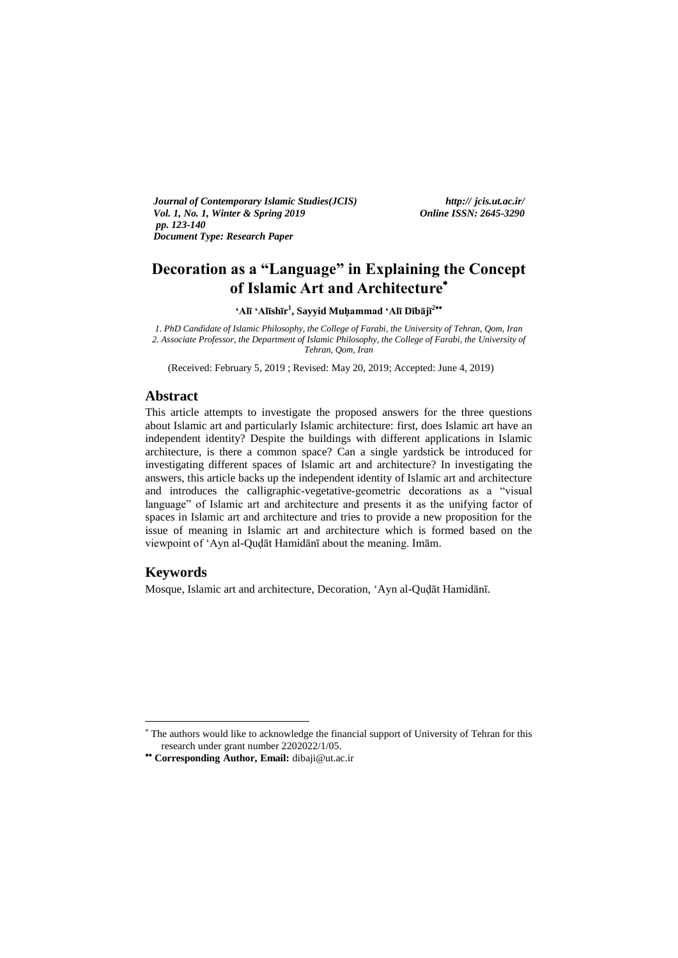*Journal of Contemporary Islamic Studies(JCIS) http:// jcis.ut.ac.ir/ Vol. 1, No. 1, Winter & Spring 2019 pp. 123-140 Document Type: Research Paper* 

# **Decoration as a "Language" in Explaining the Concept of Islamic Art and Architecture**

**"Alī "Alīshīr 1 , Sayyid Muḥammad "Alī Dībājī 2**

*1. PhD Candidate of Islamic Philosophy, the College of Farabi, the University of Tehran, Qom, Iran 2. Associate Professor, the Department of Islamic Philosophy, the College of Farabi, the University of Tehran, Qom, Iran*

(Received: February 5, 2019 ; Revised: May 20, 2019; Accepted: June 4, 2019)

# **Abstract**

This article attempts to investigate the proposed answers for the three questions about Islamic art and particularly Islamic architecture: first, does Islamic art have an independent identity? Despite the buildings with different applications in Islamic architecture, is there a common space? Can a single yardstick be introduced for investigating different spaces of Islamic art and architecture? In investigating the answers, this article backs up the independent identity of Islamic art and architecture and introduces the calligraphic-vegetative-geometric decorations as a "visual language" of Islamic art and architecture and presents it as the unifying factor of spaces in Islamic art and architecture and tries to provide a new proposition for the issue of meaning in Islamic art and architecture which is formed based on the viewpoint of "Ayn al-Quḍāt Hamidānī about the meaning. Imām.

# **Keywords**

-

Mosque, Islamic art and architecture, Decoration, "Ayn al-Quḍāt Hamidānī.

The authors would like to acknowledge the financial support of University of Tehran for this research under grant number 2202022/1/05.

**Corresponding Author, Email:** dibaji@ut.ac.ir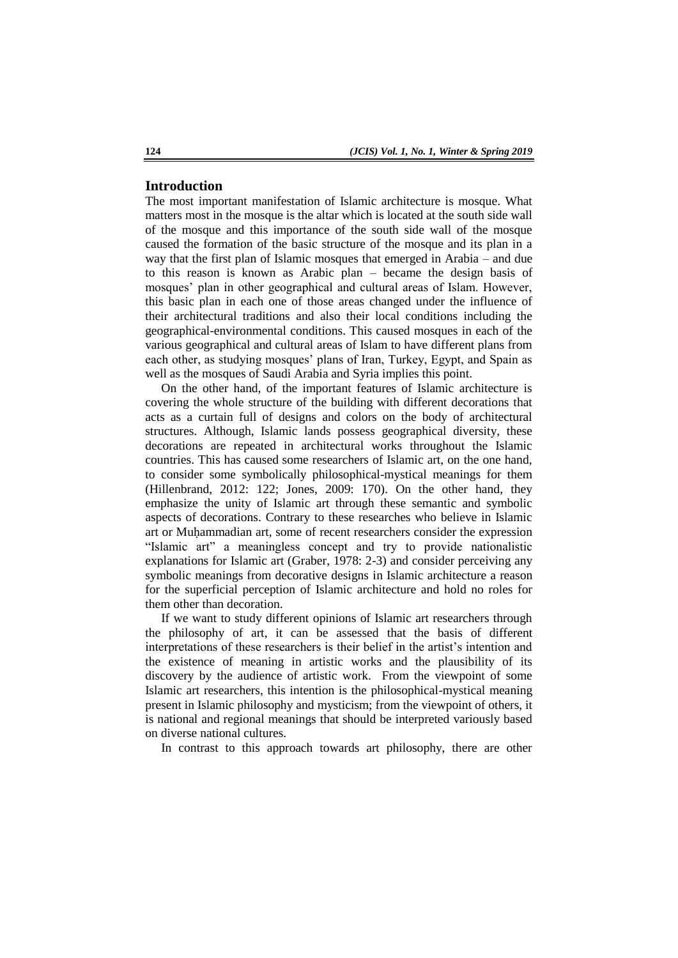### **Introduction**

The most important manifestation of Islamic architecture is mosque. What matters most in the mosque is the altar which is located at the south side wall of the mosque and this importance of the south side wall of the mosque caused the formation of the basic structure of the mosque and its plan in a way that the first plan of Islamic mosques that emerged in Arabia – and due to this reason is known as Arabic plan – became the design basis of mosques' plan in other geographical and cultural areas of Islam. However, this basic plan in each one of those areas changed under the influence of their architectural traditions and also their local conditions including the geographical-environmental conditions. This caused mosques in each of the various geographical and cultural areas of Islam to have different plans from each other, as studying mosques' plans of Iran, Turkey, Egypt, and Spain as well as the mosques of Saudi Arabia and Syria implies this point.

On the other hand, of the important features of Islamic architecture is covering the whole structure of the building with different decorations that acts as a curtain full of designs and colors on the body of architectural structures. Although, Islamic lands possess geographical diversity, these decorations are repeated in architectural works throughout the Islamic countries. This has caused some researchers of Islamic art, on the one hand, to consider some symbolically philosophical-mystical meanings for them (Hillenbrand, 2012: 122; Jones, 2009: 170). On the other hand, they emphasize the unity of Islamic art through these semantic and symbolic aspects of decorations. Contrary to these researches who believe in Islamic art or Muḥammadian art, some of recent researchers consider the expression "Islamic art" a meaningless concept and try to provide nationalistic explanations for Islamic art (Graber, 1978: 2-3) and consider perceiving any symbolic meanings from decorative designs in Islamic architecture a reason for the superficial perception of Islamic architecture and hold no roles for them other than decoration.

If we want to study different opinions of Islamic art researchers through the philosophy of art, it can be assessed that the basis of different interpretations of these researchers is their belief in the artist"s intention and the existence of meaning in artistic works and the plausibility of its discovery by the audience of artistic work. From the viewpoint of some Islamic art researchers, this intention is the philosophical-mystical meaning present in Islamic philosophy and mysticism; from the viewpoint of others, it is national and regional meanings that should be interpreted variously based on diverse national cultures.

In contrast to this approach towards art philosophy, there are other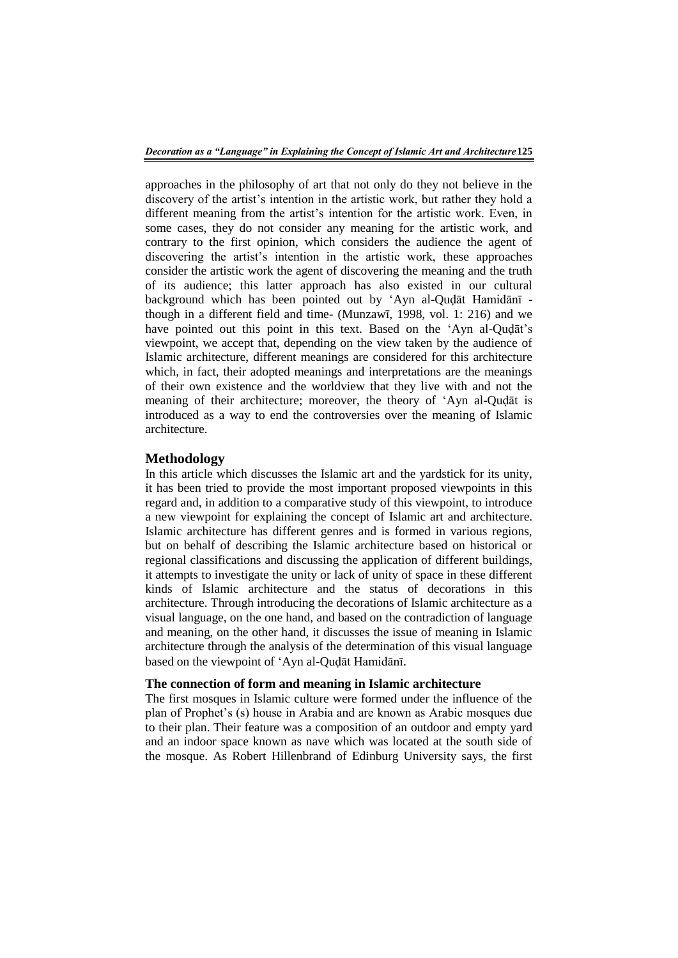approaches in the philosophy of art that not only do they not believe in the discovery of the artist's intention in the artistic work, but rather they hold a different meaning from the artist's intention for the artistic work. Even, in some cases, they do not consider any meaning for the artistic work, and contrary to the first opinion, which considers the audience the agent of discovering the artist's intention in the artistic work, these approaches consider the artistic work the agent of discovering the meaning and the truth of its audience; this latter approach has also existed in our cultural background which has been pointed out by "Ayn al-Quḍāt Hamidānī though in a different field and time- (Munzawī, 1998, vol. 1: 216) and we have pointed out this point in this text. Based on the 'Ayn al-Quḍāt's viewpoint, we accept that, depending on the view taken by the audience of Islamic architecture, different meanings are considered for this architecture which, in fact, their adopted meanings and interpretations are the meanings of their own existence and the worldview that they live with and not the meaning of their architecture; moreover, the theory of "Ayn al-Quḍāt is introduced as a way to end the controversies over the meaning of Islamic architecture.

#### **Methodology**

In this article which discusses the Islamic art and the yardstick for its unity, it has been tried to provide the most important proposed viewpoints in this regard and, in addition to a comparative study of this viewpoint, to introduce a new viewpoint for explaining the concept of Islamic art and architecture. Islamic architecture has different genres and is formed in various regions, but on behalf of describing the Islamic architecture based on historical or regional classifications and discussing the application of different buildings, it attempts to investigate the unity or lack of unity of space in these different kinds of Islamic architecture and the status of decorations in this architecture. Through introducing the decorations of Islamic architecture as a visual language, on the one hand, and based on the contradiction of language and meaning, on the other hand, it discusses the issue of meaning in Islamic architecture through the analysis of the determination of this visual language based on the viewpoint of "Ayn al-Quḍāt Hamidānī.

## **The connection of form and meaning in Islamic architecture**

The first mosques in Islamic culture were formed under the influence of the plan of Prophet"s (s) house in Arabia and are known as Arabic mosques due to their plan. Their feature was a composition of an outdoor and empty yard and an indoor space known as nave which was located at the south side of the mosque. As Robert Hillenbrand of Edinburg University says, the first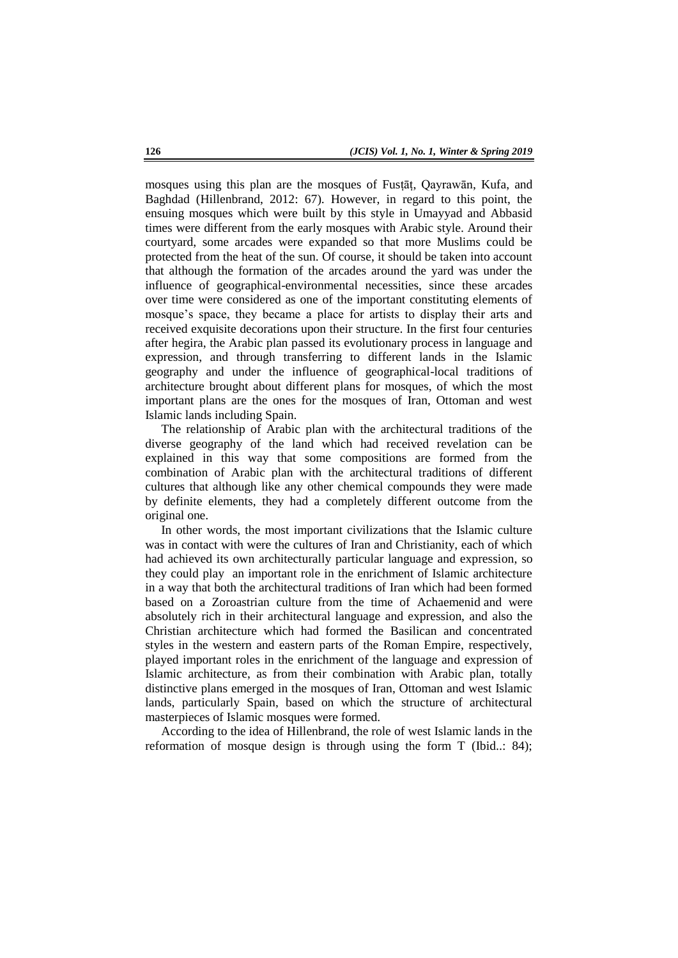mosques using this plan are the mosques of Fusṭāṭ, Qayrawān, Kufa, and Baghdad (Hillenbrand, 2012: 67). However, in regard to this point, the ensuing mosques which were built by this style in Umayyad and Abbasid times were different from the early mosques with Arabic style. Around their courtyard, some arcades were expanded so that more Muslims could be protected from the heat of the sun. Of course, it should be taken into account that although the formation of the arcades around the yard was under the influence of geographical-environmental necessities, since these arcades over time were considered as one of the important constituting elements of mosque's space, they became a place for artists to display their arts and received exquisite decorations upon their structure. In the first four centuries after hegira, the Arabic plan passed its evolutionary process in language and expression, and through transferring to different lands in the Islamic geography and under the influence of geographical-local traditions of architecture brought about different plans for mosques, of which the most important plans are the ones for the mosques of Iran, Ottoman and west Islamic lands including Spain.

The relationship of Arabic plan with the architectural traditions of the diverse geography of the land which had received revelation can be explained in this way that some compositions are formed from the combination of Arabic plan with the architectural traditions of different cultures that although like any other chemical compounds they were made by definite elements, they had a completely different outcome from the original one.

In other words, the most important civilizations that the Islamic culture was in contact with were the cultures of Iran and Christianity, each of which had achieved its own architecturally particular language and expression, so they could play an important role in the enrichment of Islamic architecture in a way that both the architectural traditions of Iran which had been formed based on a Zoroastrian culture from the time of Achaemenid and were absolutely rich in their architectural language and expression, and also the Christian architecture which had formed the Basilican and concentrated styles in the western and eastern parts of the Roman Empire, respectively, played important roles in the enrichment of the language and expression of Islamic architecture, as from their combination with Arabic plan, totally distinctive plans emerged in the mosques of Iran, Ottoman and west Islamic lands, particularly Spain, based on which the structure of architectural masterpieces of Islamic mosques were formed.

According to the idea of Hillenbrand, the role of west Islamic lands in the reformation of mosque design is through using the form T (Ibid..: 84);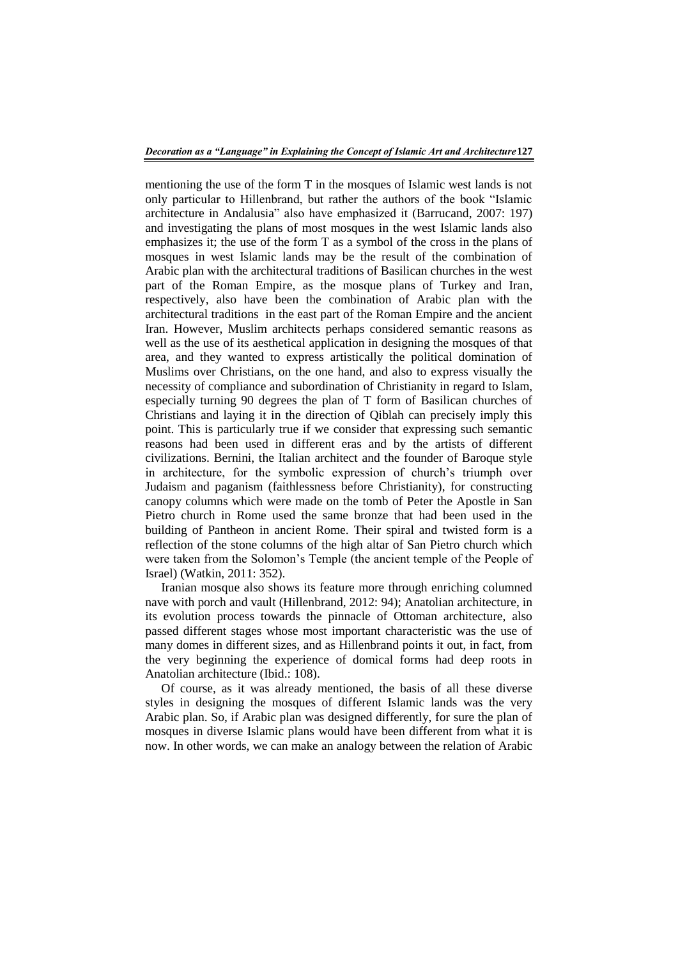mentioning the use of the form T in the mosques of Islamic west lands is not only particular to Hillenbrand, but rather the authors of the book "Islamic architecture in Andalusia" also have emphasized it (Barrucand, 2007: 197) and investigating the plans of most mosques in the west Islamic lands also emphasizes it; the use of the form T as a symbol of the cross in the plans of mosques in west Islamic lands may be the result of the combination of Arabic plan with the architectural traditions of Basilican churches in the west part of the Roman Empire, as the mosque plans of Turkey and Iran, respectively, also have been the combination of Arabic plan with the architectural traditions in the east part of the Roman Empire and the ancient Iran. However, Muslim architects perhaps considered semantic reasons as well as the use of its aesthetical application in designing the mosques of that area, and they wanted to express artistically the political domination of Muslims over Christians, on the one hand, and also to express visually the necessity of compliance and subordination of Christianity in regard to Islam, especially turning 90 degrees the plan of T form of Basilican churches of Christians and laying it in the direction of Qiblah can precisely imply this point. This is particularly true if we consider that expressing such semantic reasons had been used in different eras and by the artists of different civilizations. Bernini, the Italian architect and the founder of Baroque style in architecture, for the symbolic expression of church's triumph over Judaism and paganism (faithlessness before Christianity), for constructing canopy columns which were made on the tomb of Peter the Apostle in San Pietro church in Rome used the same bronze that had been used in the building of Pantheon in ancient Rome. Their spiral and twisted form is a reflection of the stone columns of the high altar of San Pietro church which were taken from the Solomon"s Temple (the ancient temple of the People of Israel) (Watkin, 2011: 352).

Iranian mosque also shows its feature more through enriching columned nave with porch and vault (Hillenbrand, 2012: 94); Anatolian architecture, in its evolution process towards the pinnacle of Ottoman architecture, also passed different stages whose most important characteristic was the use of many domes in different sizes, and as Hillenbrand points it out, in fact, from the very beginning the experience of domical forms had deep roots in Anatolian architecture (Ibid.: 108).

Of course, as it was already mentioned, the basis of all these diverse styles in designing the mosques of different Islamic lands was the very Arabic plan. So, if Arabic plan was designed differently, for sure the plan of mosques in diverse Islamic plans would have been different from what it is now. In other words, we can make an analogy between the relation of Arabic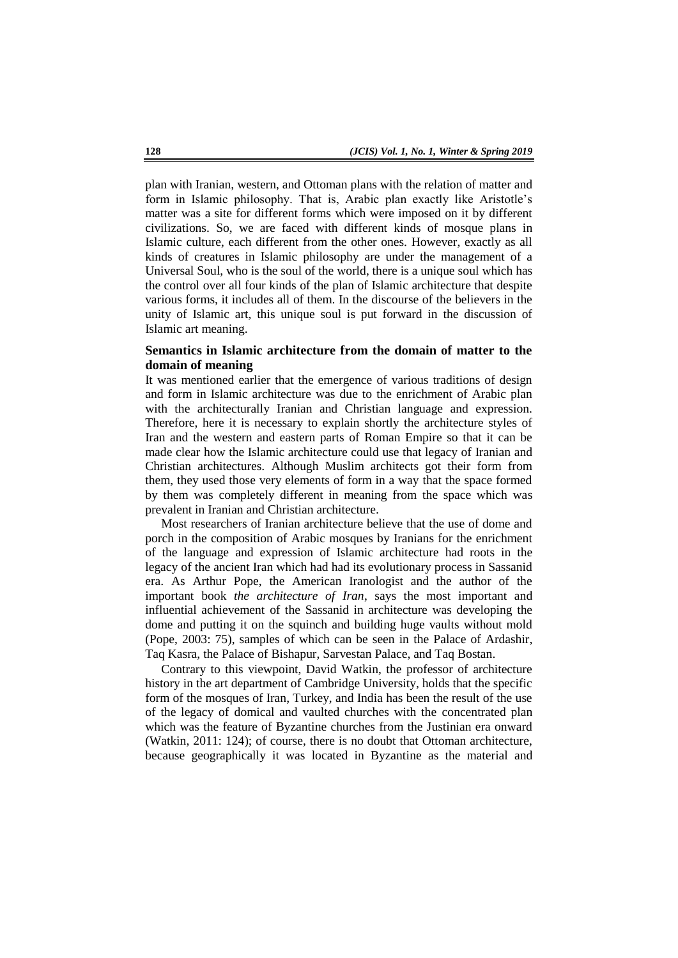plan with Iranian, western, and Ottoman plans with the relation of matter and form in Islamic philosophy. That is, Arabic plan exactly like Aristotle"s matter was a site for different forms which were imposed on it by different civilizations. So, we are faced with different kinds of mosque plans in Islamic culture, each different from the other ones. However, exactly as all kinds of creatures in Islamic philosophy are under the management of a Universal Soul, who is the soul of the world, there is a unique soul which has the control over all four kinds of the plan of Islamic architecture that despite various forms, it includes all of them. In the discourse of the believers in the unity of Islamic art, this unique soul is put forward in the discussion of Islamic art meaning.

## **Semantics in Islamic architecture from the domain of matter to the domain of meaning**

It was mentioned earlier that the emergence of various traditions of design and form in Islamic architecture was due to the enrichment of Arabic plan with the architecturally Iranian and Christian language and expression. Therefore, here it is necessary to explain shortly the architecture styles of Iran and the western and eastern parts of Roman Empire so that it can be made clear how the Islamic architecture could use that legacy of Iranian and Christian architectures. Although Muslim architects got their form from them, they used those very elements of form in a way that the space formed by them was completely different in meaning from the space which was prevalent in Iranian and Christian architecture.

Most researchers of Iranian architecture believe that the use of dome and porch in the composition of Arabic mosques by Iranians for the enrichment of the language and expression of Islamic architecture had roots in the legacy of the ancient Iran which had had its evolutionary process in Sassanid era. As Arthur Pope, the American Iranologist and the author of the important book *the architecture of Iran*, says the most important and influential achievement of the Sassanid in architecture was developing the dome and putting it on the squinch and building huge vaults without mold (Pope, 2003: 75), samples of which can be seen in the Palace of Ardashir, Taq Kasra, the Palace of Bishapur, Sarvestan Palace, and Taq Bostan.

Contrary to this viewpoint, David Watkin, the professor of architecture history in the art department of Cambridge University, holds that the specific form of the mosques of Iran, Turkey, and India has been the result of the use of the legacy of domical and vaulted churches with the concentrated plan which was the feature of Byzantine churches from the Justinian era onward (Watkin, 2011: 124); of course, there is no doubt that Ottoman architecture, because geographically it was located in Byzantine as the material and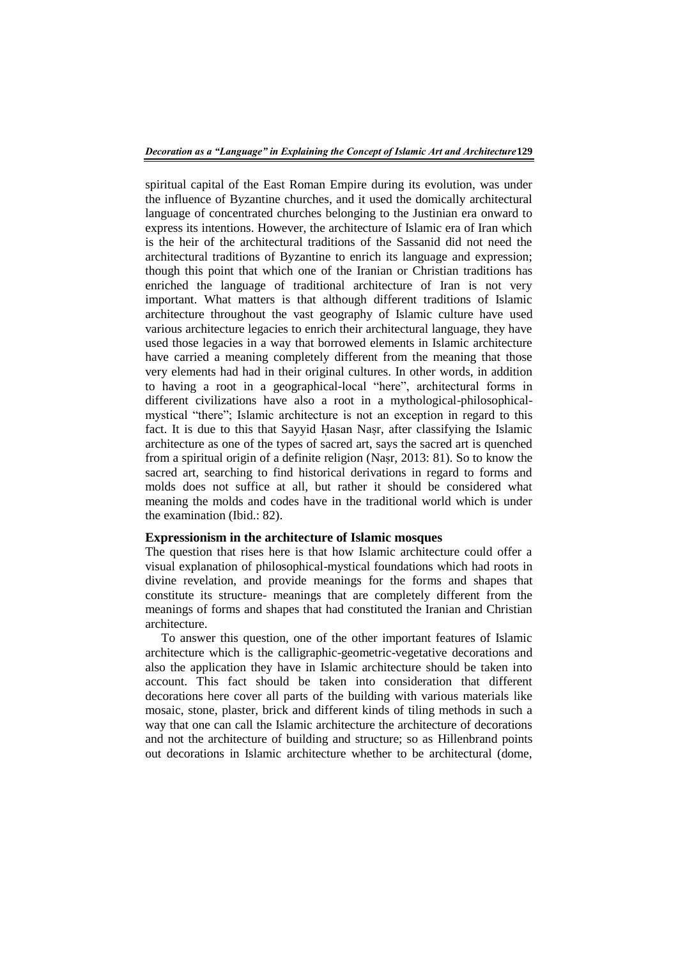spiritual capital of the East Roman Empire during its evolution, was under the influence of Byzantine churches, and it used the domically architectural language of concentrated churches belonging to the Justinian era onward to express its intentions. However, the architecture of Islamic era of Iran which is the heir of the architectural traditions of the Sassanid did not need the architectural traditions of Byzantine to enrich its language and expression; though this point that which one of the Iranian or Christian traditions has enriched the language of traditional architecture of Iran is not very important. What matters is that although different traditions of Islamic architecture throughout the vast geography of Islamic culture have used various architecture legacies to enrich their architectural language, they have used those legacies in a way that borrowed elements in Islamic architecture have carried a meaning completely different from the meaning that those very elements had had in their original cultures. In other words, in addition to having a root in a geographical-local "here", architectural forms in different civilizations have also a root in a mythological-philosophicalmystical "there"; Islamic architecture is not an exception in regard to this fact. It is due to this that Sayyid Hasan Naṣr, after classifying the Islamic architecture as one of the types of sacred art, says the sacred art is quenched from a spiritual origin of a definite religion (Naṣr, 2013: 81). So to know the sacred art, searching to find historical derivations in regard to forms and molds does not suffice at all, but rather it should be considered what meaning the molds and codes have in the traditional world which is under the examination (Ibid.: 82).

#### **Expressionism in the architecture of Islamic mosques**

The question that rises here is that how Islamic architecture could offer a visual explanation of philosophical-mystical foundations which had roots in divine revelation, and provide meanings for the forms and shapes that constitute its structure- meanings that are completely different from the meanings of forms and shapes that had constituted the Iranian and Christian architecture.

To answer this question, one of the other important features of Islamic architecture which is the calligraphic-geometric-vegetative decorations and also the application they have in Islamic architecture should be taken into account. This fact should be taken into consideration that different decorations here cover all parts of the building with various materials like mosaic, stone, plaster, brick and different kinds of tiling methods in such a way that one can call the Islamic architecture the architecture of decorations and not the architecture of building and structure; so as Hillenbrand points out decorations in Islamic architecture whether to be architectural (dome,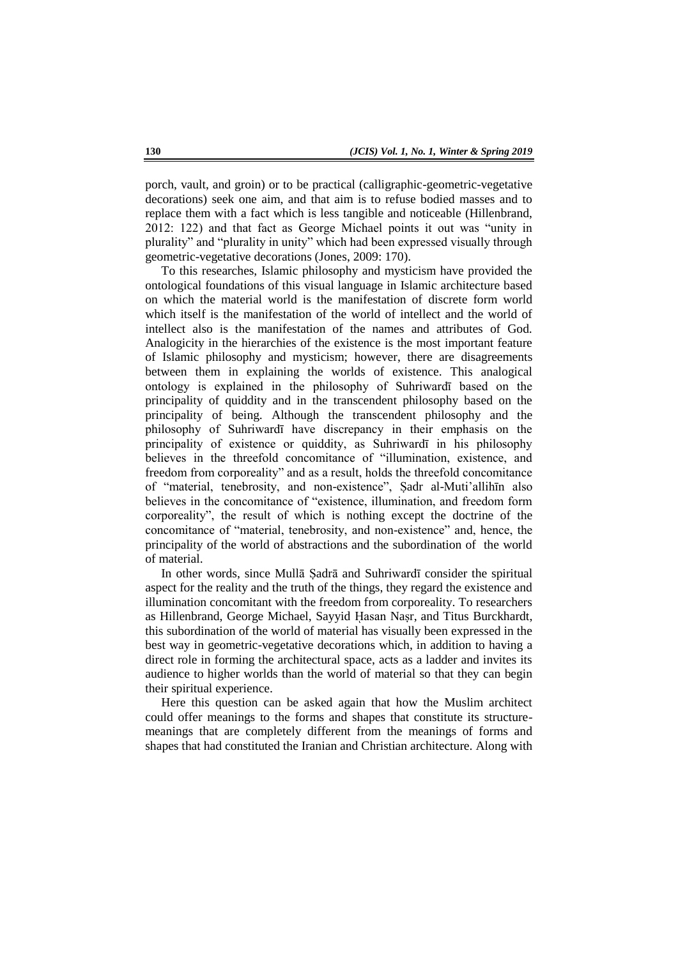porch, vault, and groin) or to be practical (calligraphic-geometric-vegetative decorations) seek one aim, and that aim is to refuse bodied masses and to replace them with a fact which is less tangible and noticeable (Hillenbrand, 2012: 122) and that fact as George Michael points it out was "unity in plurality" and "plurality in unity" which had been expressed visually through geometric-vegetative decorations (Jones, 2009: 170).

To this researches, Islamic philosophy and mysticism have provided the ontological foundations of this visual language in Islamic architecture based on which the material world is the manifestation of discrete form world which itself is the manifestation of the world of intellect and the world of intellect also is the manifestation of the names and attributes of God. Analogicity in the hierarchies of the existence is the most important feature of Islamic philosophy and mysticism; however, there are disagreements between them in explaining the worlds of existence. This analogical ontology is explained in the philosophy of Suhriwardī based on the principality of quiddity and in the transcendent philosophy based on the principality of being. Although the transcendent philosophy and the philosophy of Suhriwardī have discrepancy in their emphasis on the principality of existence or quiddity, as Suhriwardī in his philosophy believes in the threefold concomitance of "illumination, existence, and freedom from corporeality" and as a result, holds the threefold concomitance of "material, tenebrosity, and non-existence", Sadr al-Muti'allihin also believes in the concomitance of "existence, illumination, and freedom form corporeality", the result of which is nothing except the doctrine of the concomitance of "material, tenebrosity, and non-existence" and, hence, the principality of the world of abstractions and the subordination of the world of material.

In other words, since Mullā Ṣadrā and Suhriwardī consider the spiritual aspect for the reality and the truth of the things, they regard the existence and illumination concomitant with the freedom from corporeality. To researchers as Hillenbrand, George Michael, Sayyid Hasan Naṣr, and Titus Burckhardt, this subordination of the world of material has visually been expressed in the best way in geometric-vegetative decorations which, in addition to having a direct role in forming the architectural space, acts as a ladder and invites its audience to higher worlds than the world of material so that they can begin their spiritual experience.

Here this question can be asked again that how the Muslim architect could offer meanings to the forms and shapes that constitute its structuremeanings that are completely different from the meanings of forms and shapes that had constituted the Iranian and Christian architecture. Along with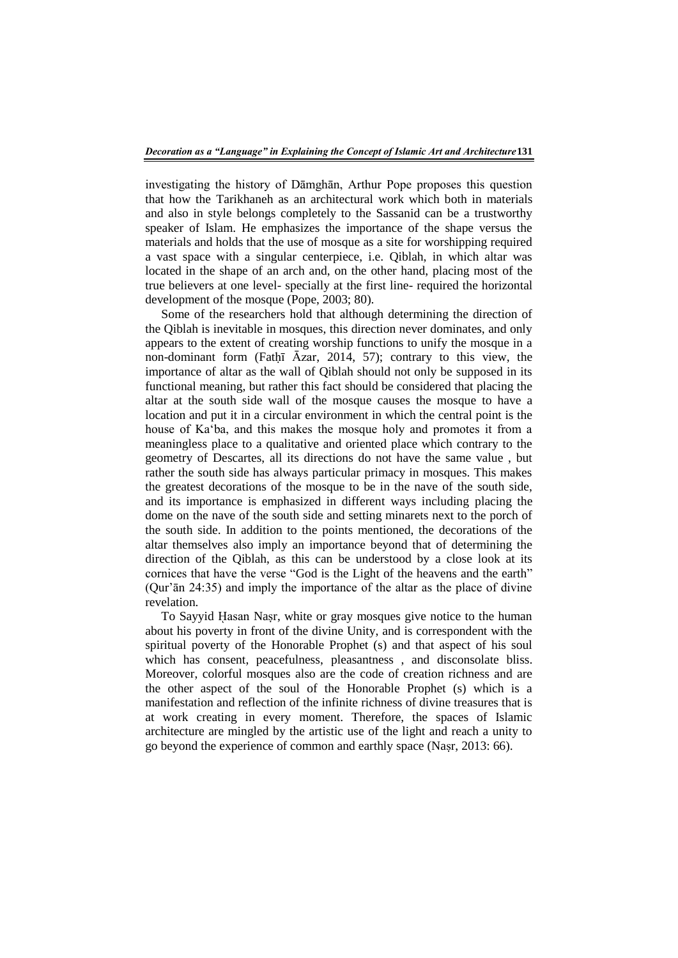investigating the history of Dāmghān, Arthur Pope proposes this question that how the Tarikhaneh as an architectural work which both in materials and also in style belongs completely to the Sassanid can be a trustworthy speaker of Islam. He emphasizes the importance of the shape versus the materials and holds that the use of mosque as a site for worshipping required a vast space with a singular centerpiece, i.e. Qiblah, in which altar was located in the shape of an arch and, on the other hand, placing most of the true believers at one level- specially at the first line- required the horizontal development of the mosque (Pope, 2003; 80).

Some of the researchers hold that although determining the direction of the Qiblah is inevitable in mosques, this direction never dominates, and only appears to the extent of creating worship functions to unify the mosque in a non-dominant form (Fatḥī Āzar, 2014, 57); contrary to this view, the importance of altar as the wall of Qiblah should not only be supposed in its functional meaning, but rather this fact should be considered that placing the altar at the south side wall of the mosque causes the mosque to have a location and put it in a circular environment in which the central point is the house of Ka"ba, and this makes the mosque holy and promotes it from a meaningless place to a qualitative and oriented place which contrary to the geometry of Descartes, all its directions do not have the same value , but rather the south side has always particular primacy in mosques. This makes the greatest decorations of the mosque to be in the nave of the south side, and its importance is emphasized in different ways including placing the dome on the nave of the south side and setting minarets next to the porch of the south side. In addition to the points mentioned, the decorations of the altar themselves also imply an importance beyond that of determining the direction of the Qiblah, as this can be understood by a close look at its cornices that have the verse "God is the Light of the heavens and the earth" (Qur"ān 24:35) and imply the importance of the altar as the place of divine revelation.

To Sayyid Hasan Naşr, white or gray mosques give notice to the human about his poverty in front of the divine Unity, and is correspondent with the spiritual poverty of the Honorable Prophet (s) and that aspect of his soul which has consent, peacefulness, pleasantness , and disconsolate bliss. Moreover, colorful mosques also are the code of creation richness and are the other aspect of the soul of the Honorable Prophet (s) which is a manifestation and reflection of the infinite richness of divine treasures that is at work creating in every moment. Therefore, the spaces of Islamic architecture are mingled by the artistic use of the light and reach a unity to go beyond the experience of common and earthly space (Naṣr, 2013: 66).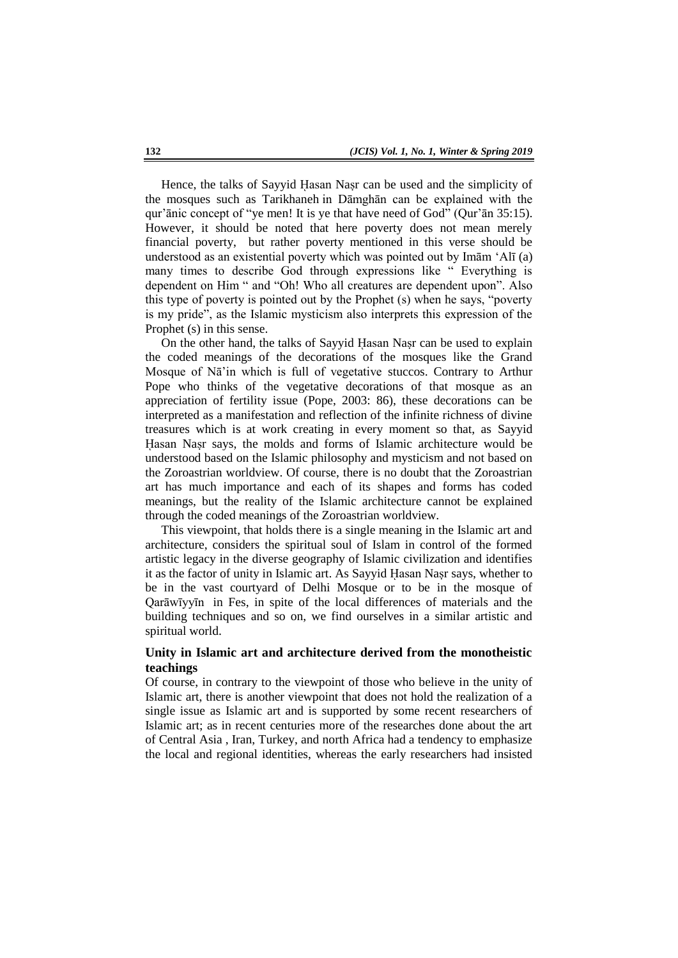Hence, the talks of Sayyid Hasan Nasr can be used and the simplicity of the mosques such as Tarikhaneh in Dāmghān can be explained with the qur"ānic concept of "ye men! It is ye that have need of God" (Qur"ān 35:15). However, it should be noted that here poverty does not mean merely financial poverty, but rather poverty mentioned in this verse should be understood as an existential poverty which was pointed out by Imām "Alī (a) many times to describe God through expressions like " Everything is dependent on Him " and "Oh! Who all creatures are dependent upon". Also this type of poverty is pointed out by the Prophet (s) when he says, "poverty is my pride", as the Islamic mysticism also interprets this expression of the Prophet (s) in this sense.

On the other hand, the talks of Sayyid Hasan Nasr can be used to explain the coded meanings of the decorations of the mosques like the Grand Mosque of Nā"in which is full of vegetative stuccos. Contrary to Arthur Pope who thinks of the vegetative decorations of that mosque as an appreciation of fertility issue (Pope, 2003: 86), these decorations can be interpreted as a manifestation and reflection of the infinite richness of divine treasures which is at work creating in every moment so that, as Sayyid Hasan Nasr says, the molds and forms of Islamic architecture would be understood based on the Islamic philosophy and mysticism and not based on the Zoroastrian worldview. Of course, there is no doubt that the Zoroastrian art has much importance and each of its shapes and forms has coded meanings, but the reality of the Islamic architecture cannot be explained through the coded meanings of the Zoroastrian worldview.

This viewpoint, that holds there is a single meaning in the Islamic art and architecture, considers the spiritual soul of Islam in control of the formed artistic legacy in the diverse geography of Islamic civilization and identifies it as the factor of unity in Islamic art. As Sayyid Hasan Naṣr says, whether to be in the vast courtyard of Delhi Mosque or to be in the mosque of Qarāwīyyīn in Fes, in spite of the local differences of materials and the building techniques and so on, we find ourselves in a similar artistic and spiritual world.

# **Unity in Islamic art and architecture derived from the monotheistic teachings**

Of course, in contrary to the viewpoint of those who believe in the unity of Islamic art, there is another viewpoint that does not hold the realization of a single issue as Islamic art and is supported by some recent researchers of Islamic art; as in recent centuries more of the researches done about the art of Central Asia , Iran, Turkey, and north Africa had a tendency to emphasize the local and regional identities, whereas the early researchers had insisted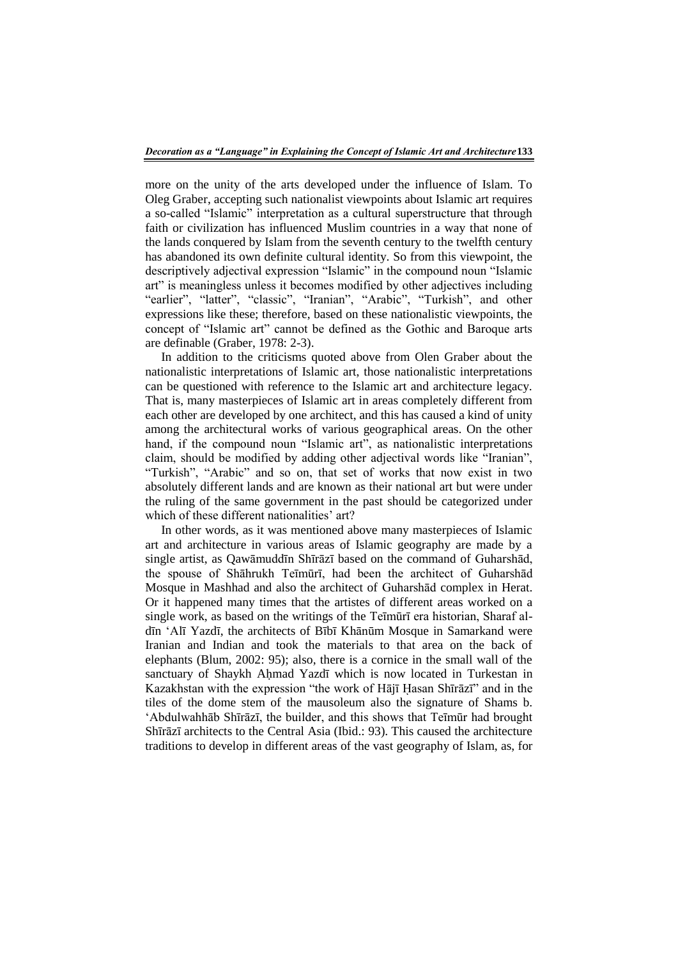more on the unity of the arts developed under the influence of Islam. To Oleg Graber, accepting such nationalist viewpoints about Islamic art requires a so-called "Islamic" interpretation as a cultural superstructure that through faith or civilization has influenced Muslim countries in a way that none of the lands conquered by Islam from the seventh century to the twelfth century has abandoned its own definite cultural identity. So from this viewpoint, the descriptively adjectival expression "Islamic" in the compound noun "Islamic art" is meaningless unless it becomes modified by other adjectives including "earlier", "latter", "classic", "Iranian", "Arabic", "Turkish", and other expressions like these; therefore, based on these nationalistic viewpoints, the concept of "Islamic art" cannot be defined as the Gothic and Baroque arts are definable (Graber, 1978: 2-3).

In addition to the criticisms quoted above from Olen Graber about the nationalistic interpretations of Islamic art, those nationalistic interpretations can be questioned with reference to the Islamic art and architecture legacy. That is, many masterpieces of Islamic art in areas completely different from each other are developed by one architect, and this has caused a kind of unity among the architectural works of various geographical areas. On the other hand, if the compound noun "Islamic art", as nationalistic interpretations claim, should be modified by adding other adjectival words like "Iranian", "Turkish", "Arabic" and so on, that set of works that now exist in two absolutely different lands and are known as their national art but were under the ruling of the same government in the past should be categorized under which of these different nationalities' art?

In other words, as it was mentioned above many masterpieces of Islamic art and architecture in various areas of Islamic geography are made by a single artist, as Qawāmuddīn Shīrāzī based on the command of Guharshād, the spouse of Shāhrukh Teīmūrī, had been the architect of Guharshād Mosque in Mashhad and also the architect of Guharshād complex in Herat. Or it happened many times that the artistes of different areas worked on a single work, as based on the writings of the Teīmūrī era historian, Sharaf aldīn "Alī Yazdī, the architects of Bībī Khānūm Mosque in Samarkand were Iranian and Indian and took the materials to that area on the back of elephants (Blum, 2002: 95); also, there is a cornice in the small wall of the sanctuary of Shaykh Aḥmad Yazdī which is now located in Turkestan in Kazakhstan with the expression "the work of Hājī Hasan Shīrāzī" and in the tiles of the dome stem of the mausoleum also the signature of Shams b. "Abdulwahhāb Shīrāzī, the builder, and this shows that Teīmūr had brought Shīrāzī architects to the Central Asia (Ibid.: 93). This caused the architecture traditions to develop in different areas of the vast geography of Islam, as, for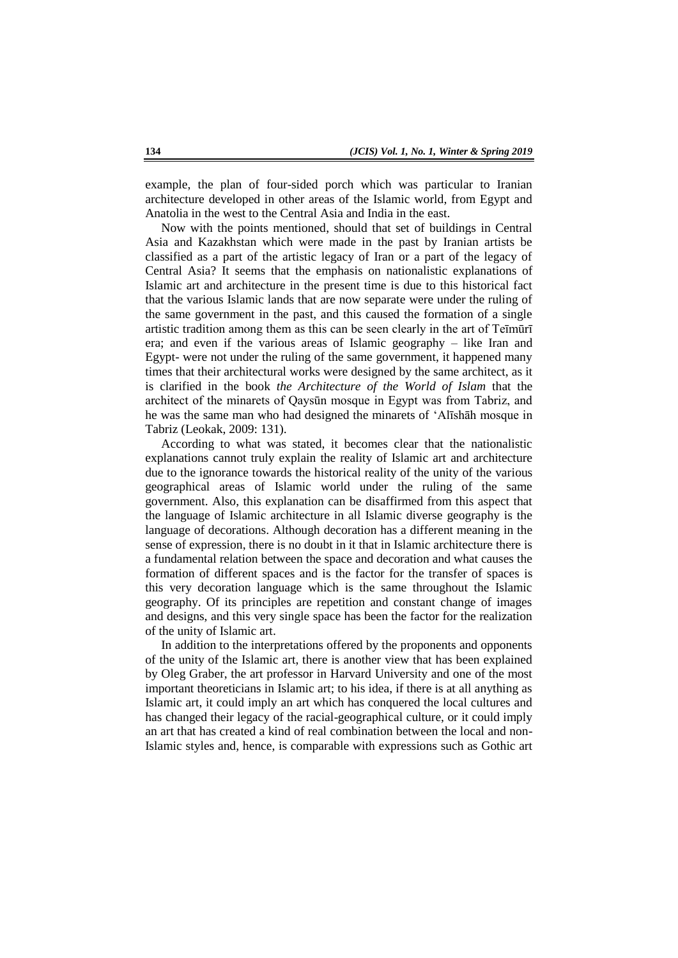example, the plan of four-sided porch which was particular to Iranian architecture developed in other areas of the Islamic world, from Egypt and Anatolia in the west to the Central Asia and India in the east.

Now with the points mentioned, should that set of buildings in Central Asia and Kazakhstan which were made in the past by Iranian artists be classified as a part of the artistic legacy of Iran or a part of the legacy of Central Asia? It seems that the emphasis on nationalistic explanations of Islamic art and architecture in the present time is due to this historical fact that the various Islamic lands that are now separate were under the ruling of the same government in the past, and this caused the formation of a single artistic tradition among them as this can be seen clearly in the art of Teīmūrī era; and even if the various areas of Islamic geography – like Iran and Egypt- were not under the ruling of the same government, it happened many times that their architectural works were designed by the same architect, as it is clarified in the book *the Architecture of the World of Islam* that the architect of the minarets of Qaysūn mosque in Egypt was from Tabriz, and he was the same man who had designed the minarets of "Alīshāh mosque in Tabriz (Leokak, 2009: 131).

According to what was stated, it becomes clear that the nationalistic explanations cannot truly explain the reality of Islamic art and architecture due to the ignorance towards the historical reality of the unity of the various geographical areas of Islamic world under the ruling of the same government. Also, this explanation can be disaffirmed from this aspect that the language of Islamic architecture in all Islamic diverse geography is the language of decorations. Although decoration has a different meaning in the sense of expression, there is no doubt in it that in Islamic architecture there is a fundamental relation between the space and decoration and what causes the formation of different spaces and is the factor for the transfer of spaces is this very decoration language which is the same throughout the Islamic geography. Of its principles are repetition and constant change of images and designs, and this very single space has been the factor for the realization of the unity of Islamic art.

In addition to the interpretations offered by the proponents and opponents of the unity of the Islamic art, there is another view that has been explained by Oleg Graber, the art professor in Harvard University and one of the most important theoreticians in Islamic art; to his idea, if there is at all anything as Islamic art, it could imply an art which has conquered the local cultures and has changed their legacy of the racial-geographical culture, or it could imply an art that has created a kind of real combination between the local and non-Islamic styles and, hence, is comparable with expressions such as Gothic art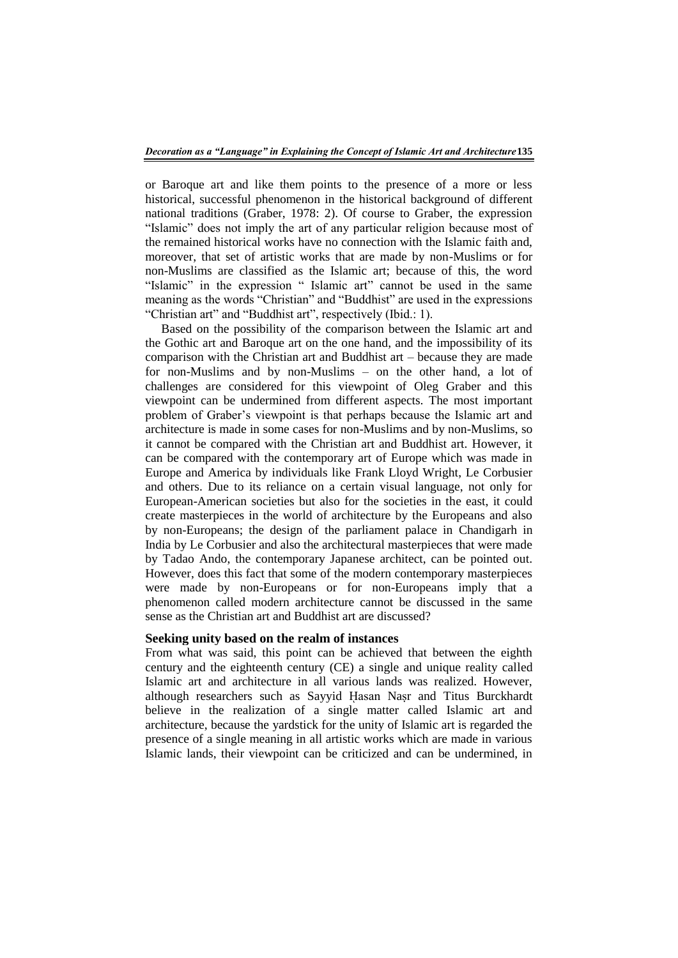or Baroque art and like them points to the presence of a more or less historical, successful phenomenon in the historical background of different national traditions (Graber, 1978: 2). Of course to Graber, the expression "Islamic" does not imply the art of any particular religion because most of the remained historical works have no connection with the Islamic faith and, moreover, that set of artistic works that are made by non-Muslims or for non-Muslims are classified as the Islamic art; because of this, the word "Islamic" in the expression " Islamic art" cannot be used in the same meaning as the words "Christian" and "Buddhist" are used in the expressions "Christian art" and "Buddhist art", respectively (Ibid.: 1).

Based on the possibility of the comparison between the Islamic art and the Gothic art and Baroque art on the one hand, and the impossibility of its comparison with the Christian art and Buddhist art – because they are made for non-Muslims and by non-Muslims – on the other hand, a lot of challenges are considered for this viewpoint of Oleg Graber and this viewpoint can be undermined from different aspects. The most important problem of Graber"s viewpoint is that perhaps because the Islamic art and architecture is made in some cases for non-Muslims and by non-Muslims, so it cannot be compared with the Christian art and Buddhist art. However, it can be compared with the contemporary art of Europe which was made in Europe and America by individuals like Frank Lloyd Wright, Le Corbusier and others. Due to its reliance on a certain visual language, not only for European-American societies but also for the societies in the east, it could create masterpieces in the world of architecture by the Europeans and also by non-Europeans; the design of the parliament palace in Chandigarh in India by Le Corbusier and also the architectural masterpieces that were made by Tadao Ando, the contemporary Japanese architect, can be pointed out. However, does this fact that some of the modern contemporary masterpieces were made by non-Europeans or for non-Europeans imply that a phenomenon called modern architecture cannot be discussed in the same sense as the Christian art and Buddhist art are discussed?

#### **Seeking unity based on the realm of instances**

From what was said, this point can be achieved that between the eighth century and the eighteenth century (CE) a single and unique reality called Islamic art and architecture in all various lands was realized. However, although researchers such as Sayyid ῌasan Naṣr and Titus Burckhardt believe in the realization of a single matter called Islamic art and architecture, because the yardstick for the unity of Islamic art is regarded the presence of a single meaning in all artistic works which are made in various Islamic lands, their viewpoint can be criticized and can be undermined, in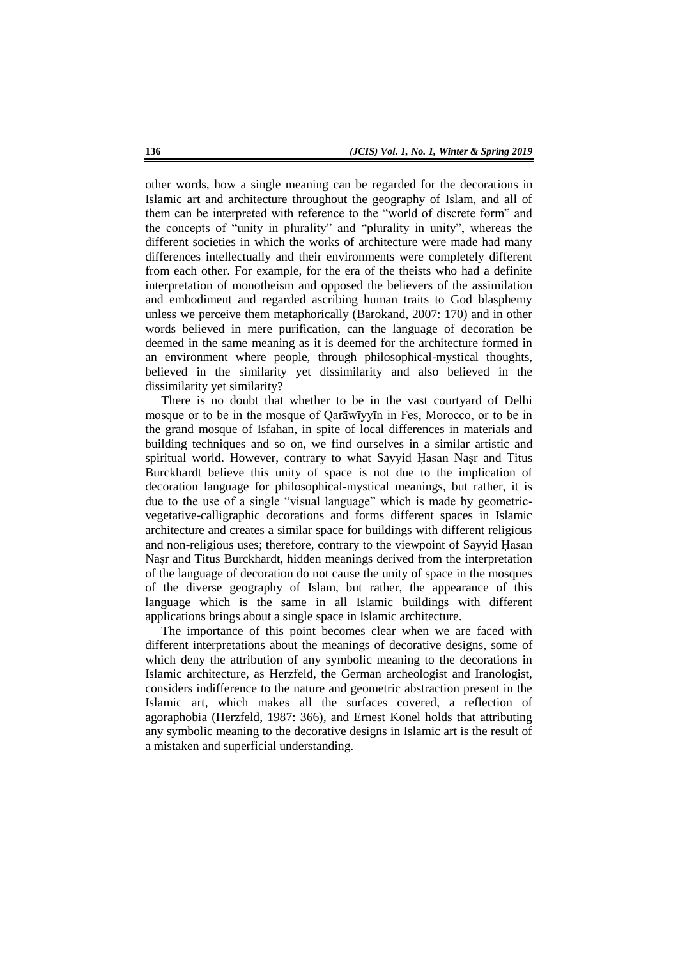other words, how a single meaning can be regarded for the decorations in Islamic art and architecture throughout the geography of Islam, and all of them can be interpreted with reference to the "world of discrete form" and the concepts of "unity in plurality" and "plurality in unity", whereas the different societies in which the works of architecture were made had many differences intellectually and their environments were completely different from each other. For example, for the era of the theists who had a definite interpretation of monotheism and opposed the believers of the assimilation and embodiment and regarded ascribing human traits to God blasphemy unless we perceive them metaphorically (Barokand, 2007: 170) and in other words believed in mere purification, can the language of decoration be deemed in the same meaning as it is deemed for the architecture formed in an environment where people, through philosophical-mystical thoughts, believed in the similarity yet dissimilarity and also believed in the dissimilarity yet similarity?

There is no doubt that whether to be in the vast courtyard of Delhi mosque or to be in the mosque of Qarāwīyyīn in Fes, Morocco, or to be in the grand mosque of Isfahan, in spite of local differences in materials and building techniques and so on, we find ourselves in a similar artistic and spiritual world. However, contrary to what Sayyid Hasan Nasr and Titus Burckhardt believe this unity of space is not due to the implication of decoration language for philosophical-mystical meanings, but rather, it is due to the use of a single "visual language" which is made by geometricvegetative-calligraphic decorations and forms different spaces in Islamic architecture and creates a similar space for buildings with different religious and non-religious uses; therefore, contrary to the viewpoint of Sayyid Hasan Naṣr and Titus Burckhardt, hidden meanings derived from the interpretation of the language of decoration do not cause the unity of space in the mosques of the diverse geography of Islam, but rather, the appearance of this language which is the same in all Islamic buildings with different applications brings about a single space in Islamic architecture.

The importance of this point becomes clear when we are faced with different interpretations about the meanings of decorative designs, some of which deny the attribution of any symbolic meaning to the decorations in Islamic architecture, as Herzfeld, the German archeologist and Iranologist, considers indifference to the nature and geometric abstraction present in the Islamic art, which makes all the surfaces covered, a reflection of agoraphobia (Herzfeld, 1987: 366), and Ernest Konel holds that attributing any symbolic meaning to the decorative designs in Islamic art is the result of a mistaken and superficial understanding.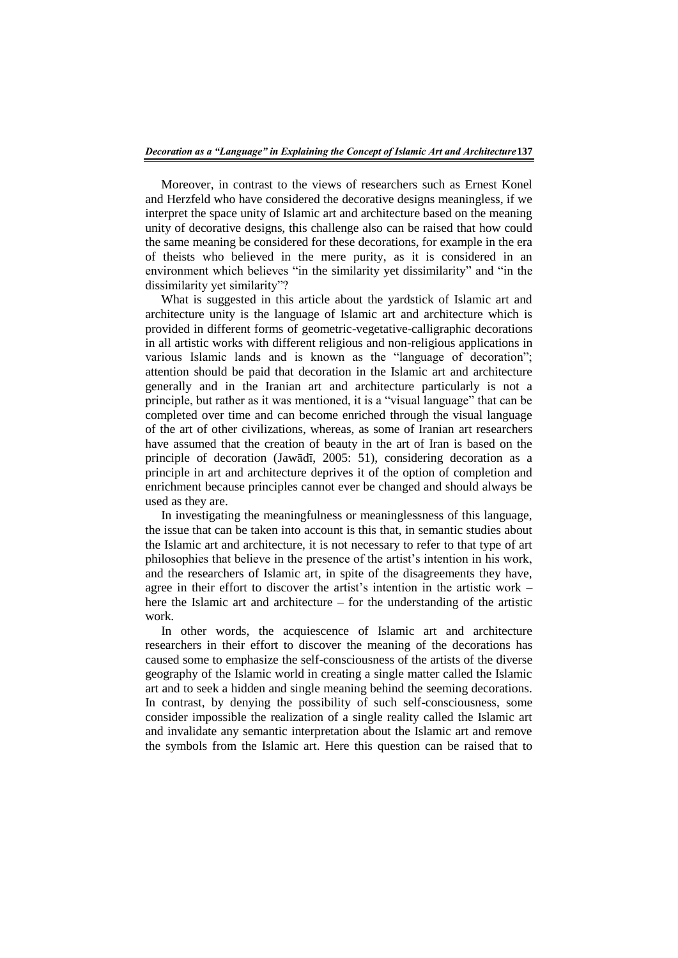Moreover, in contrast to the views of researchers such as Ernest Konel and Herzfeld who have considered the decorative designs meaningless, if we interpret the space unity of Islamic art and architecture based on the meaning unity of decorative designs, this challenge also can be raised that how could the same meaning be considered for these decorations, for example in the era of theists who believed in the mere purity, as it is considered in an environment which believes "in the similarity yet dissimilarity" and "in the dissimilarity yet similarity"?

What is suggested in this article about the yardstick of Islamic art and architecture unity is the language of Islamic art and architecture which is provided in different forms of geometric-vegetative-calligraphic decorations in all artistic works with different religious and non-religious applications in various Islamic lands and is known as the "language of decoration"; attention should be paid that decoration in the Islamic art and architecture generally and in the Iranian art and architecture particularly is not a principle, but rather as it was mentioned, it is a "visual language" that can be completed over time and can become enriched through the visual language of the art of other civilizations, whereas, as some of Iranian art researchers have assumed that the creation of beauty in the art of Iran is based on the principle of decoration (Jawādī, 2005: 51), considering decoration as a principle in art and architecture deprives it of the option of completion and enrichment because principles cannot ever be changed and should always be used as they are.

In investigating the meaningfulness or meaninglessness of this language, the issue that can be taken into account is this that, in semantic studies about the Islamic art and architecture, it is not necessary to refer to that type of art philosophies that believe in the presence of the artist"s intention in his work, and the researchers of Islamic art, in spite of the disagreements they have, agree in their effort to discover the artist's intention in the artistic work  $$ here the Islamic art and architecture – for the understanding of the artistic work.

In other words, the acquiescence of Islamic art and architecture researchers in their effort to discover the meaning of the decorations has caused some to emphasize the self-consciousness of the artists of the diverse geography of the Islamic world in creating a single matter called the Islamic art and to seek a hidden and single meaning behind the seeming decorations. In contrast, by denying the possibility of such self-consciousness, some consider impossible the realization of a single reality called the Islamic art and invalidate any semantic interpretation about the Islamic art and remove the symbols from the Islamic art. Here this question can be raised that to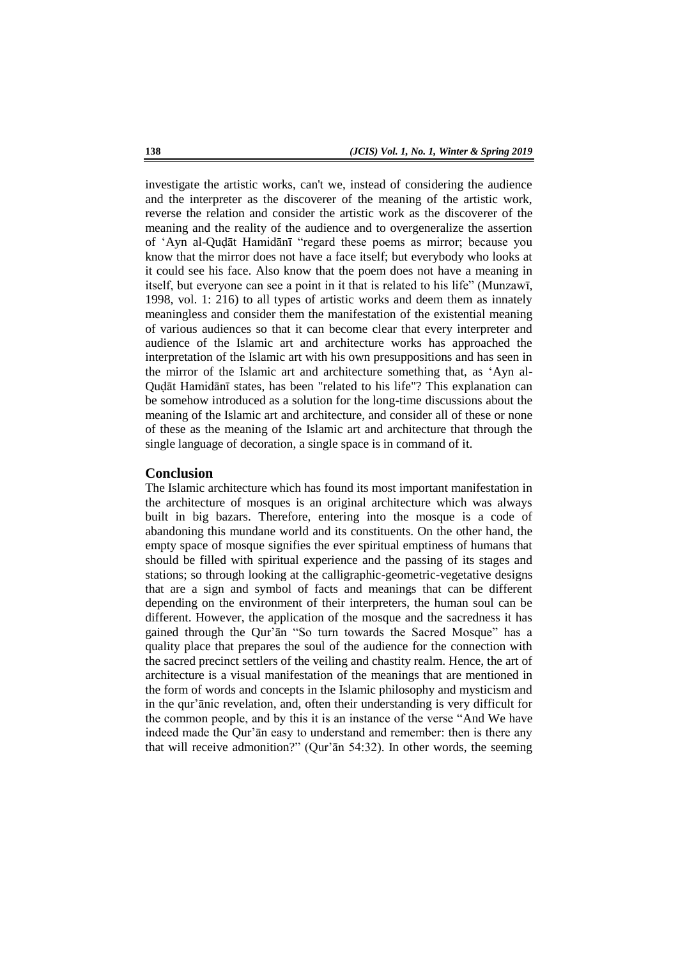investigate the artistic works, can't we, instead of considering the audience and the interpreter as the discoverer of the meaning of the artistic work, reverse the relation and consider the artistic work as the discoverer of the meaning and the reality of the audience and to overgeneralize the assertion of "Ayn al-Quḍāt Hamidānī "regard these poems as mirror; because you know that the mirror does not have a face itself; but everybody who looks at it could see his face. Also know that the poem does not have a meaning in itself, but everyone can see a point in it that is related to his life" (Munzawī, 1998, vol. 1: 216) to all types of artistic works and deem them as innately meaningless and consider them the manifestation of the existential meaning of various audiences so that it can become clear that every interpreter and audience of the Islamic art and architecture works has approached the interpretation of the Islamic art with his own presuppositions and has seen in the mirror of the Islamic art and architecture something that, as "Ayn al-Quḍāt Hamidānī states, has been "related to his life"? This explanation can be somehow introduced as a solution for the long-time discussions about the meaning of the Islamic art and architecture, and consider all of these or none of these as the meaning of the Islamic art and architecture that through the single language of decoration, a single space is in command of it.

#### **Conclusion**

The Islamic architecture which has found its most important manifestation in the architecture of mosques is an original architecture which was always built in big bazars. Therefore, entering into the mosque is a code of abandoning this mundane world and its constituents. On the other hand, the empty space of mosque signifies the ever spiritual emptiness of humans that should be filled with spiritual experience and the passing of its stages and stations; so through looking at the calligraphic-geometric-vegetative designs that are a sign and symbol of facts and meanings that can be different depending on the environment of their interpreters, the human soul can be different. However, the application of the mosque and the sacredness it has gained through the Qur"ān "So turn towards the Sacred Mosque" has a quality place that prepares the soul of the audience for the connection with the sacred precinct settlers of the veiling and chastity realm. Hence, the art of architecture is a visual manifestation of the meanings that are mentioned in the form of words and concepts in the Islamic philosophy and mysticism and in the qur"ānic revelation, and, often their understanding is very difficult for the common people, and by this it is an instance of the verse "And We have indeed made the Qur"ān easy to understand and remember: then is there any that will receive admonition?" (Qur"ān 54:32). In other words, the seeming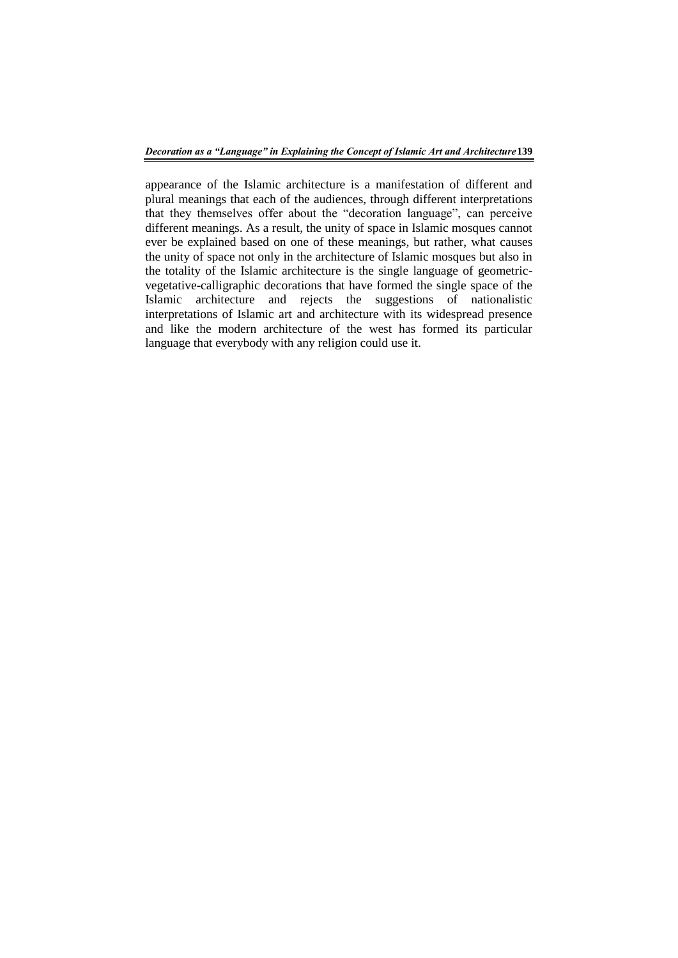appearance of the Islamic architecture is a manifestation of different and plural meanings that each of the audiences, through different interpretations that they themselves offer about the "decoration language", can perceive different meanings. As a result, the unity of space in Islamic mosques cannot ever be explained based on one of these meanings, but rather, what causes the unity of space not only in the architecture of Islamic mosques but also in the totality of the Islamic architecture is the single language of geometricvegetative-calligraphic decorations that have formed the single space of the Islamic architecture and rejects the suggestions of nationalistic interpretations of Islamic art and architecture with its widespread presence and like the modern architecture of the west has formed its particular language that everybody with any religion could use it.